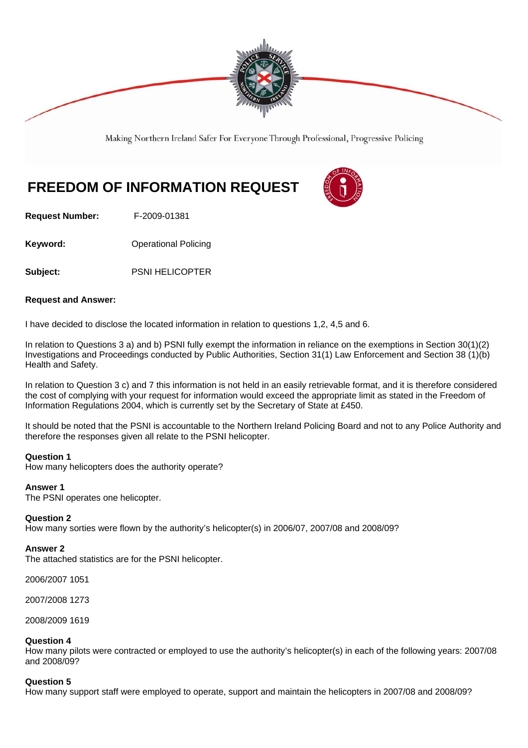

Making Northern Ireland Safer For Everyone Through Professional, Progressive Policing

# **FREEDOM OF INFORMATION REQUEST**



**Request Number:** F-2009-01381

**Keyword: Conservery Operational Policing** 

**Subject:** PSNI HELICOPTER

## **Request and Answer:**

I have decided to disclose the located information in relation to questions 1,2, 4,5 and 6.

In relation to Questions 3 a) and b) PSNI fully exempt the information in reliance on the exemptions in Section 30(1)(2) Investigations and Proceedings conducted by Public Authorities, Section 31(1) Law Enforcement and Section 38 (1)(b) Health and Safety.

In relation to Question 3 c) and 7 this information is not held in an easily retrievable format, and it is therefore considered the cost of complying with your request for information would exceed the appropriate limit as stated in the Freedom of Information Regulations 2004, which is currently set by the Secretary of State at £450.

It should be noted that the PSNI is accountable to the Northern Ireland Policing Board and not to any Police Authority and therefore the responses given all relate to the PSNI helicopter.

#### **Question 1**

How many helicopters does the authority operate?

#### **Answer 1**

The PSNI operates one helicopter.

#### **Question 2**

How many sorties were flown by the authority's helicopter(s) in 2006/07, 2007/08 and 2008/09?

#### **Answer 2**

The attached statistics are for the PSNI helicopter.

2006/2007 1051

2007/2008 1273

2008/2009 1619

#### **Question 4**

How many pilots were contracted or employed to use the authority's helicopter(s) in each of the following years: 2007/08 and 2008/09?

#### **Question 5**

How many support staff were employed to operate, support and maintain the helicopters in 2007/08 and 2008/09?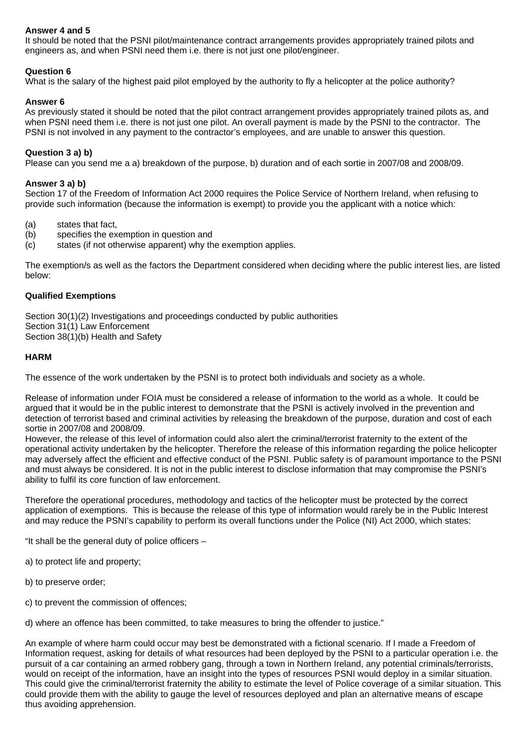## **Answer 4 and 5**

It should be noted that the PSNI pilot/maintenance contract arrangements provides appropriately trained pilots and engineers as, and when PSNI need them i.e. there is not just one pilot/engineer.

## **Question 6**

What is the salary of the highest paid pilot employed by the authority to fly a helicopter at the police authority?

## **Answer 6**

As previously stated it should be noted that the pilot contract arrangement provides appropriately trained pilots as, and when PSNI need them i.e. there is not just one pilot. An overall payment is made by the PSNI to the contractor. The PSNI is not involved in any payment to the contractor's employees, and are unable to answer this question.

## **Question 3 a) b)**

Please can you send me a a) breakdown of the purpose, b) duration and of each sortie in 2007/08 and 2008/09.

## **Answer 3 a) b)**

Section 17 of the Freedom of Information Act 2000 requires the Police Service of Northern Ireland, when refusing to provide such information (because the information is exempt) to provide you the applicant with a notice which:

- (a) states that fact,
- (b) specifies the exemption in question and
- (c) states (if not otherwise apparent) why the exemption applies.

The exemption/s as well as the factors the Department considered when deciding where the public interest lies, are listed below:

## **Qualified Exemptions**

Section 30(1)(2) Investigations and proceedings conducted by public authorities Section 31(1) Law Enforcement Section 38(1)(b) Health and Safety

## **HARM**

The essence of the work undertaken by the PSNI is to protect both individuals and society as a whole.

Release of information under FOIA must be considered a release of information to the world as a whole. It could be argued that it would be in the public interest to demonstrate that the PSNI is actively involved in the prevention and detection of terrorist based and criminal activities by releasing the breakdown of the purpose, duration and cost of each sortie in 2007/08 and 2008/09.

However, the release of this level of information could also alert the criminal/terrorist fraternity to the extent of the operational activity undertaken by the helicopter. Therefore the release of this information regarding the police helicopter may adversely affect the efficient and effective conduct of the PSNI. Public safety is of paramount importance to the PSNI and must always be considered. It is not in the public interest to disclose information that may compromise the PSNI's ability to fulfil its core function of law enforcement.

Therefore the operational procedures, methodology and tactics of the helicopter must be protected by the correct application of exemptions. This is because the release of this type of information would rarely be in the Public Interest and may reduce the PSNI's capability to perform its overall functions under the Police (NI) Act 2000, which states:

"It shall be the general duty of police officers –

a) to protect life and property;

- b) to preserve order;
- c) to prevent the commission of offences;

d) where an offence has been committed, to take measures to bring the offender to justice."

An example of where harm could occur may best be demonstrated with a fictional scenario. If I made a Freedom of Information request, asking for details of what resources had been deployed by the PSNI to a particular operation i.e. the pursuit of a car containing an armed robbery gang, through a town in Northern Ireland, any potential criminals/terrorists, would on receipt of the information, have an insight into the types of resources PSNI would deploy in a similar situation. This could give the criminal/terrorist fraternity the ability to estimate the level of Police coverage of a similar situation. This could provide them with the ability to gauge the level of resources deployed and plan an alternative means of escape thus avoiding apprehension.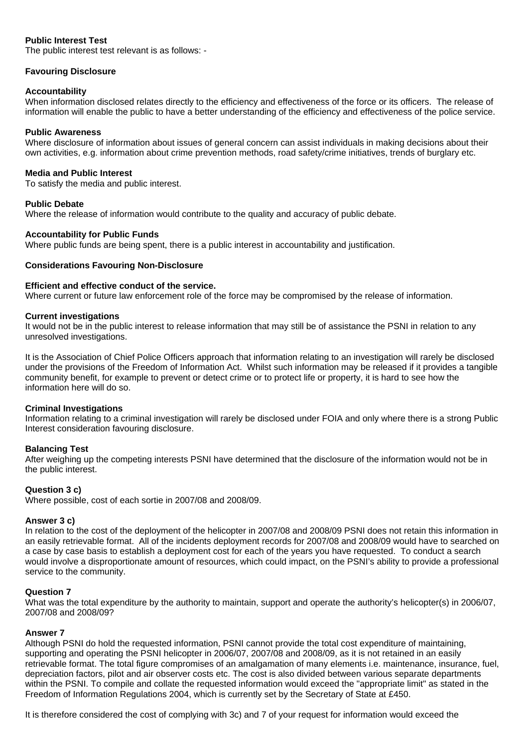## **Public Interest Test**

The public interest test relevant is as follows: -

## **Favouring Disclosure**

#### **Accountability**

When information disclosed relates directly to the efficiency and effectiveness of the force or its officers. The release of information will enable the public to have a better understanding of the efficiency and effectiveness of the police service.

#### **Public Awareness**

Where disclosure of information about issues of general concern can assist individuals in making decisions about their own activities, e.g. information about crime prevention methods, road safety/crime initiatives, trends of burglary etc.

#### **Media and Public Interest**

To satisfy the media and public interest.

#### **Public Debate**

Where the release of information would contribute to the quality and accuracy of public debate.

#### **Accountability for Public Funds**

Where public funds are being spent, there is a public interest in accountability and justification.

#### **Considerations Favouring Non-Disclosure**

#### **Efficient and effective conduct of the service.**

Where current or future law enforcement role of the force may be compromised by the release of information.

#### **Current investigations**

It would not be in the public interest to release information that may still be of assistance the PSNI in relation to any unresolved investigations.

It is the Association of Chief Police Officers approach that information relating to an investigation will rarely be disclosed under the provisions of the Freedom of Information Act. Whilst such information may be released if it provides a tangible community benefit, for example to prevent or detect crime or to protect life or property, it is hard to see how the information here will do so.

#### **Criminal Investigations**

Information relating to a criminal investigation will rarely be disclosed under FOIA and only where there is a strong Public Interest consideration favouring disclosure.

#### **Balancing Test**

After weighing up the competing interests PSNI have determined that the disclosure of the information would not be in the public interest.

#### **Question 3 c)**

Where possible, cost of each sortie in 2007/08 and 2008/09.

#### **Answer 3 c)**

In relation to the cost of the deployment of the helicopter in 2007/08 and 2008/09 PSNI does not retain this information in an easily retrievable format. All of the incidents deployment records for 2007/08 and 2008/09 would have to searched on a case by case basis to establish a deployment cost for each of the years you have requested. To conduct a search would involve a disproportionate amount of resources, which could impact, on the PSNI's ability to provide a professional service to the community.

#### **Question 7**

What was the total expenditure by the authority to maintain, support and operate the authority's helicopter(s) in 2006/07, 2007/08 and 2008/09?

#### **Answer 7**

Although PSNI do hold the requested information, PSNI cannot provide the total cost expenditure of maintaining, supporting and operating the PSNI helicopter in 2006/07, 2007/08 and 2008/09, as it is not retained in an easily retrievable format. The total figure compromises of an amalgamation of many elements i.e. maintenance, insurance, fuel, depreciation factors, pilot and air observer costs etc. The cost is also divided between various separate departments within the PSNI. To compile and collate the requested information would exceed the "appropriate limit" as stated in the Freedom of Information Regulations 2004, which is currently set by the Secretary of State at £450.

It is therefore considered the cost of complying with 3c) and 7 of your request for information would exceed the